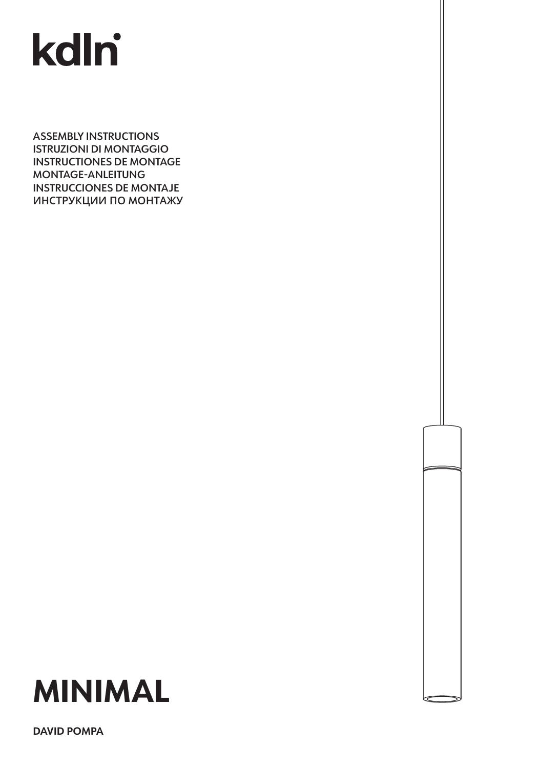# kdlni

ASSEMBLY INSTRUCTIONS ISTRUZIONI DI MONTAGGIO INSTRUCTIONES DE MONTAGE MONTAGE-ANLEITUNG INSTRUCCIONES DE MONTAJE **ИНСТРУКЦИИ ПО** M**ОНТАЖУ**



**DAVID POMPA**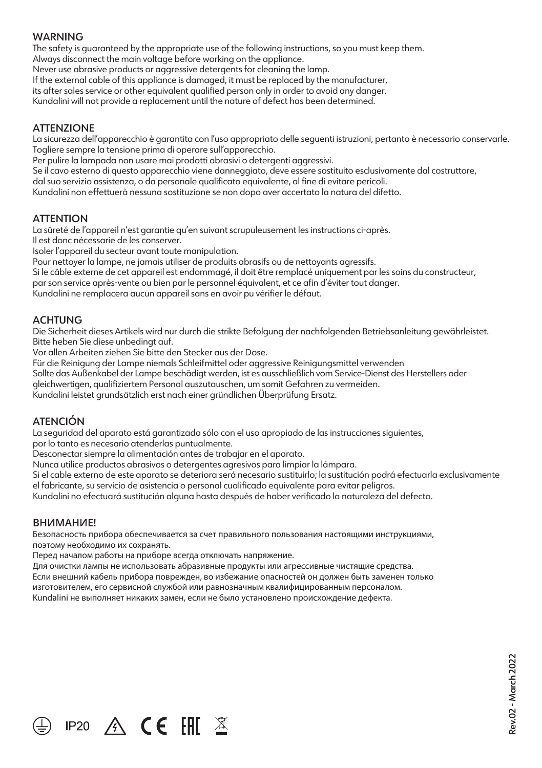# **WARNING**

The safety is guaranteed by the appropriate use of the following instructions, so you must keep them.

Always disconnect the main voltage before working on the appliance.

Never use abrasive products or aggressive detergents for cleaning the lamp.

If the external cable of this appliance is damaged, it must be replaced by the manufacturer, its after sales service or other equivalent qualified person only in order to avoid any danger.

Kundalini will not provide a replacement until the nature of defect has been determined.

# **ATTENZIONE**

La sicurezza dell'apparecchio è garantita con l'uso appropriato delle seguenti istruzioni, pertanto è necessario conservarle. Togliere sempre la tensione prima di operare sull'apparecchio.

Per pulire la lampada non usare mai prodotti abrasivi o detergenti aggressivi.

Se il cavo esterno di questo apparecchio viene danneggiato, deve essere sostituito esclusivamente dal costruttore, dal suo servizio assistenza, o da personale qualificato equivalente, al fine di evitare pericoli.

Kundalini non effettuerà nessuna sostituzione se non dopo aver accertato la natura del difetto.

# **ATTENTION**

La sûreté de l'appareil n'est garantie qu'en suivant scrupuleusement les instructions ci-après. Il est donc nécessarie de les conserver.

Isoler l'appareil du secteur avant toute manipulation.

Pour nettoyer la lampe, ne jamais utiliser de produits abrasifs ou de nettoyants agressifs.

Si le câble externe de cet appareil est endommagé, il doit être remplacé uniquement par les soins du constructeur,

par son service après-vente ou bien par le personnel équivalent, et ce afin d'éviter tout danger.

Kundalini ne remplacera aucun appareil sans en avoir pu vérifier le défaut.

# **ACHTUNG**

Die Sicherheit dieses Artikels wird nur durch die strikte Befolgung der nachfolgenden Betriebsanleitung gewährleistet. Bitte heben Sie diese unbedingt auf.

Vor allen Arbeiten ziehen Sie bitte den Stecker aus der Dose.

Für die Reinigung der Lampe niemals Schleifmittel oder aggressive Reinigungsmittel verwenden

Sollte das Außenkabel der Lampe beschädigt werden, ist es ausschließlich vom Service-Dienst des Herstellers oder gleichwertigen, qualifiziertem Personal auszutauschen, um somit Gefahren zu vermeiden.

Kundalini leistet grundsätzlich erst nach einer gründlichen Überprüfung Ersatz.

# ATENCIÓN

La seguridad del aparato está garantizada sólo con el uso apropiado de las instrucciones siguientes,

por lo tanto es necesario atenderlas puntualmente.

Desconectar siempre la alimentación antes de trabajar en el aparato.

Nunca utilice productos abrasivos o detergentes agresivos para limpiar la lámpara.

Si el cable externo de este aparato se deteriora será necesario sustituirlo; la sustitución podrá efectuarla exclusivamente el fabricante, su servicio de asistencia o personal cualificado equivalente para evitar peligros.

Kundalini no efectuará sustitución alguna hasta después de haber verificado la naturaleza del defecto.

#### **ВНИМАНИЕ!**

Безопасность прибора обеспечивается за счет правильного пользования настоящими инструкциями, поэтому необходимо их сохранять.

Перед началом работы на приборе всегда отключать напряжение.

IP20  $\land$  CE FHI  $\overline{\mathbb{X}}$ 

Для очистки лампы не использовать абразивные продукты или агрессивные чистящие средства.

Если внешний кабель прибора поврежден, во избежание опасностей он должен быть заменен только

изготовителем, его сервисной службой или равнозначным квалифицированным персоналом.

Kundalini не выполняет никаких замен, если не было установлено происхождение дефекта.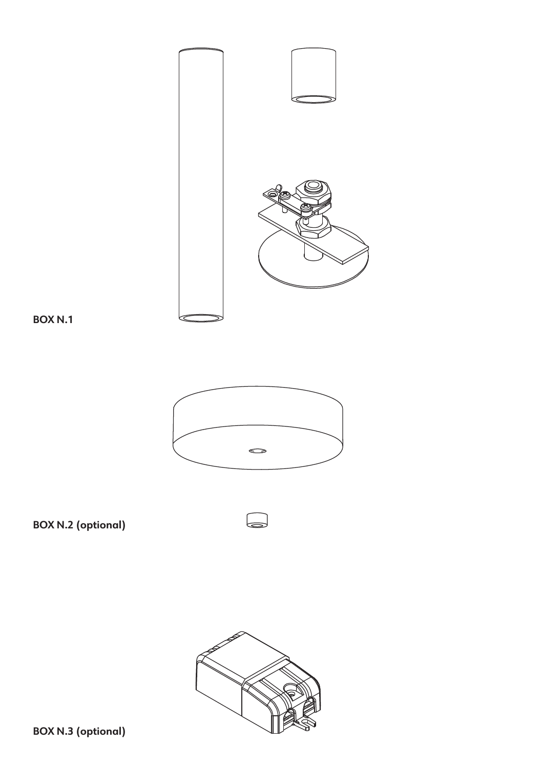





**BOX N.2 (optional)**



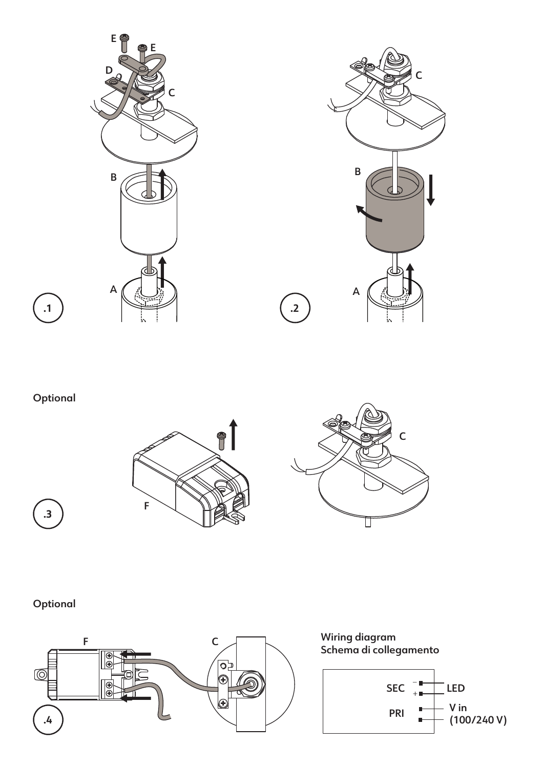



**.1**





# Optional

**.3**

 $\sum_{i=1}^{n}$ 





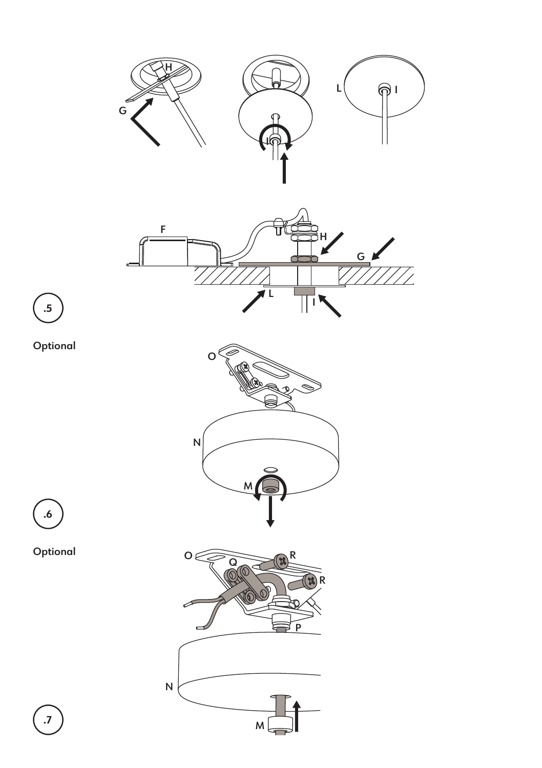

M

M M

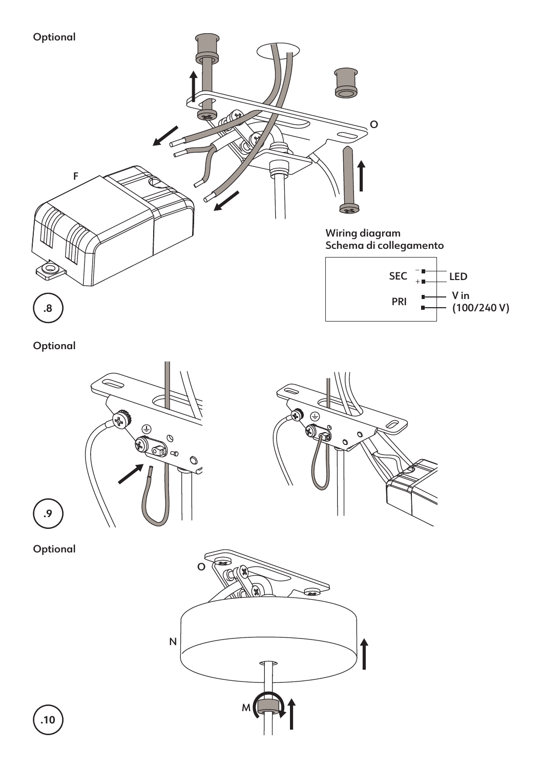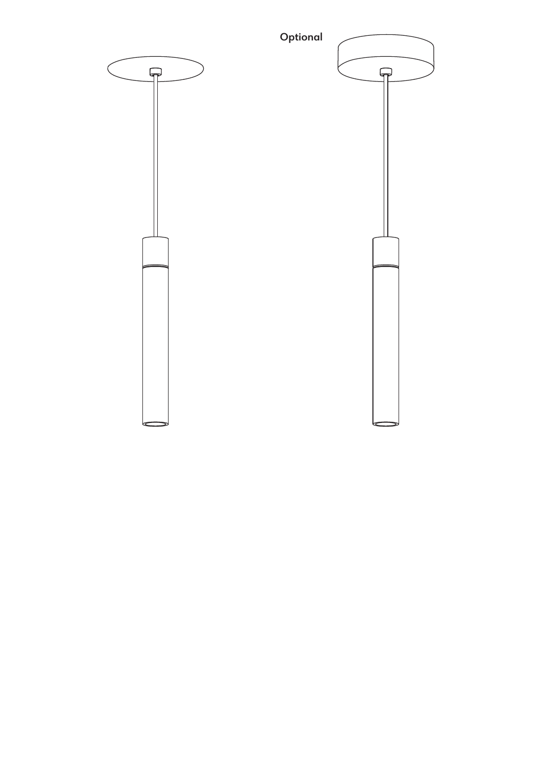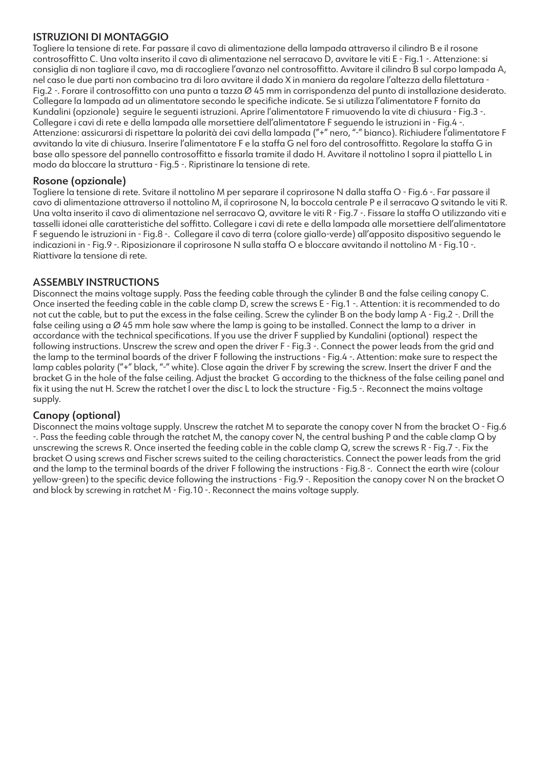# ISTRUZIONI DI MONTAGGIO

Togliere la tensione di rete. Far passare il cavo di alimentazione della lampada attraverso il cilindro B e il rosone controsoffitto C. Una volta inserito il cavo di alimentazione nel serracavo D, avvitare le viti E - Fig.1 -. Attenzione: si consiglia di non tagliare il cavo, ma di raccogliere l'avanzo nel controsoffitto. Avvitare il cilindro B sul corpo lampada A, nel caso le due parti non combacino tra di loro avvitare il dado X in maniera da regolare l'altezza della filettatura - Fig.2 -. Forare il controsoffitto con una punta a tazza Ø 45 mm in corrispondenza del punto di installazione desiderato. Collegare la lampada ad un alimentatore secondo le specifiche indicate. Se si utilizza l'alimentatore F fornito da Kundalini (opzionale) seguire le seguenti istruzioni. Aprire l'alimentatore F rimuovendo la vite di chiusura - Fig.3 -. Collegare i cavi di rete e della lampada alle morsettiere dell'alimentatore F seguendo le istruzioni in - Fig.4 -. Attenzione: assicurarsi di rispettare la polarità dei cavi della lampada ("+" nero, "-" bianco). Richiudere l'alimentatore F avvitando la vite di chiusura. Inserire l'alimentatore F e la staffa G nel foro del controsoffitto. Regolare la staffa G in base allo spessore del pannello controsoffitto e fissarla tramite il dado H. Avvitare il nottolino I sopra il piattello L in modo da bloccare la struttura - Fig.5 -. Ripristinare la tensione di rete.

# Rosone (opzionale)

Togliere la tensione di rete. Svitare il nottolino M per separare il coprirosone N dalla staffa O - Fig.6 -. Far passare il cavo di alimentazione attraverso il nottolino M, il coprirosone N, la boccola centrale P e il serracavo Q svitando le viti R. Una volta inserito il cavo di alimentazione nel serracavo Q, avvitare le viti R - Fig.7 -. Fissare la staffa O utilizzando viti e tasselli idonei alle caratteristiche del soffitto. Collegare i cavi di rete e della lampada alle morsettiere dell'alimentatore F seguendo le istruzioni in - Fig.8 -. Collegare il cavo di terra (colore giallo-verde) all'apposito dispositivo seguendo le indicazioni in - Fig.9 -. Riposizionare il coprirosone N sulla staffa O e bloccare avvitando il nottolino M - Fig.10 -. Riattivare la tensione di rete.

# ASSEMBLY INSTRUCTIONS

Disconnect the mains voltage supply. Pass the feeding cable through the cylinder B and the false ceiling canopy C. Once inserted the feeding cable in the cable clamp D, screw the screws E - Fig.1 -. Attention: it is recommended to do not cut the cable, but to put the excess in the false ceiling. Screw the cylinder B on the body lamp A - Fig.2 -. Drill the false ceiling using a Ø 45 mm hole saw where the lamp is going to be installed. Connect the lamp to a driver in accordance with the technical specifications. If you use the driver F supplied by Kundalini (optional) respect the following instructions. Unscrew the screw and open the driver F - Fig.3 -. Connect the power leads from the grid and the lamp to the terminal boards of the driver F following the instructions - Fig.4 -. Attention: make sure to respect the lamp cables polarity ("+" black, "-" white). Close again the driver F by screwing the screw. Insert the driver F and the bracket G in the hole of the false ceiling. Adjust the bracket G according to the thickness of the false ceiling panel and fix it using the nut H. Screw the ratchet I over the disc L to lock the structure - Fig.5 -. Reconnect the mains voltage supply.

# Canopy (optional)

Disconnect the mains voltage supply. Unscrew the ratchet M to separate the canopy cover N from the bracket O - Fig.6 -. Pass the feeding cable through the ratchet M, the canopy cover N, the central bushing P and the cable clamp Q by unscrewing the screws R. Once inserted the feeding cable in the cable clamp Q, screw the screws R - Fig.7 -. Fix the bracket O using screws and Fischer screws suited to the ceiling characteristics. Connect the power leads from the grid and the lamp to the terminal boards of the driver F following the instructions - Fig.8 -. Connect the earth wire (colour yellow-green) to the specific device following the instructions - Fig.9 -. Reposition the canopy cover N on the bracket O and block by screwing in ratchet M - Fig.10 -. Reconnect the mains voltage supply.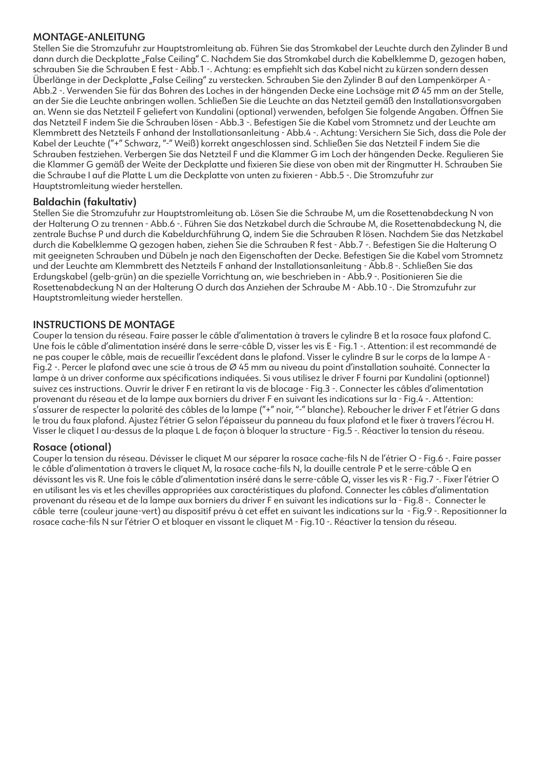#### MONTAGE-ANLEITUNG

Stellen Sie die Stromzufuhr zur Hauptstromleitung ab. Führen Sie das Stromkabel der Leuchte durch den Zylinder B und dann durch die Deckplatte "False Ceiling" C. Nachdem Sie das Stromkabel durch die Kabelklemme D, gezogen haben, schrauben Sie die Schrauben E fest - Abb.1 -. Achtung: es empfiehlt sich das Kabel nicht zu kürzen sondern dessen Überlänge in der Deckplatte "False Ceiling" zu verstecken. Schrauben Sie den Zylinder B auf den Lampenkörper A-Abb.2 -. Verwenden Sie für das Bohren des Loches in der hängenden Decke eine Lochsäge mit Ø 45 mm an der Stelle, an der Sie die Leuchte anbringen wollen. Schließen Sie die Leuchte an das Netzteil gemäß den Installationsvorgaben an. Wenn sie das Netzteil F geliefert von Kundalini (optional) verwenden, befolgen Sie folgende Angaben. Öffnen Sie das Netzteil F indem Sie die Schrauben lösen - Abb.3 -. Befestigen Sie die Kabel vom Stromnetz und der Leuchte am Klemmbrett des Netzteils F anhand der Installationsanleitung - Abb.4 -. Achtung: Versichern Sie Sich, dass die Pole der Kabel der Leuchte ("+" Schwarz, "-" Weiß) korrekt angeschlossen sind. Schließen Sie das Netzteil F indem Sie die Schrauben festziehen. Verbergen Sie das Netzteil F und die Klammer G im Loch der hängenden Decke. Regulieren Sie die Klammer G gemäß der Weite der Deckplatte und fixieren Sie diese von oben mit der Ringmutter H. Schrauben Sie die Schraube I auf die Platte L um die Deckplatte von unten zu fixieren - Abb.5 -. Die Stromzufuhr zur Hauptstromleitung wieder herstellen.

#### Baldachin (fakultativ)

Stellen Sie die Stromzufuhr zur Hauptstromleitung ab. Lösen Sie die Schraube M, um die Rosettenabdeckung N von der Halterung O zu trennen - Abb.6 -. Führen Sie das Netzkabel durch die Schraube M, die Rosettenabdeckung N, die zentrale Buchse P und durch die Kabeldurchführung Q, indem Sie die Schrauben R lösen. Nachdem Sie das Netzkabel durch die Kabelklemme Q gezogen haben, ziehen Sie die Schrauben R fest - Abb.7 -. Befestigen Sie die Halterung O mit geeigneten Schrauben und Dübeln je nach den Eigenschaften der Decke. Befestigen Sie die Kabel vom Stromnetz und der Leuchte am Klemmbrett des Netzteils F anhand der Installationsanleitung - Abb.8 -. Schließen Sie das Erdungskabel (gelb-grün) an die spezielle Vorrichtung an, wie beschrieben in - Abb.9 -. Positionieren Sie die Rosettenabdeckung N an der Halterung O durch das Anziehen der Schraube M - Abb.10 -. Die Stromzufuhr zur Hauptstromleitung wieder herstellen.

# INSTRUCTIONS DE MONTAGE

Couper la tension du réseau. Faire passer le câble d'alimentation à travers le cylindre B et la rosace faux plafond C. Une fois le câble d'alimentation inséré dans le serre-câble D, visser les vis E - Fig.1 -. Attention: il est recommandé de ne pas couper le câble, mais de recueillir l'excédent dans le plafond. Visser le cylindre B sur le corps de la lampe A - Fig.2 -. Percer le plafond avec une scie à trous de Ø 45 mm au niveau du point d'installation souhaité. Connecter la lampe à un driver conforme aux spécifications indiquées. Si vous utilisez le driver F fourni par Kundalini (optionnel) suivez ces instructions. Ouvrir le driver F en retirant la vis de blocage - Fig.3 -. Connecter les câbles d'alimentation provenant du réseau et de la lampe aux borniers du driver F en suivant les indications sur la - Fig.4 -. Attention: s'assurer de respecter la polarité des câbles de la lampe ("+" noir, "-" blanche). Reboucher le driver F et l'étrier G dans le trou du faux plafond. Ajustez l'étrier G selon l'épaisseur du panneau du faux plafond et le fixer à travers l'écrou H. Visser le cliquet I au-dessus de la plaque L de façon à bloquer la structure - Fig.5 -. Réactiver la tension du réseau.

#### Rosace (otional)

Couper la tension du réseau. Dévisser le cliquet M our séparer la rosace cache-fils N de l'étrier O - Fig.6 -. Faire passer le câble d'alimentation à travers le cliquet M, la rosace cache-fils N, la douille centrale P et le serre-câble Q en dévissant les vis R. Une fois le câble d'alimentation inséré dans le serre-câble Q, visser les vis R - Fig.7 -. Fixer l'étrier O en utilisant les vis et les chevilles appropriées aux caractéristiques du plafond. Connecter les câbles d'alimentation provenant du réseau et de la lampe aux borniers du driver F en suivant les indications sur la - Fig.8 -. Connecter le câble terre (couleur jaune-vert) au dispositif prévu à cet effet en suivant les indications sur la - Fig.9 -. Repositionner la rosace cache-fils N sur l'étrier O et bloquer en vissant le cliquet M - Fig.10 -. Réactiver la tension du réseau.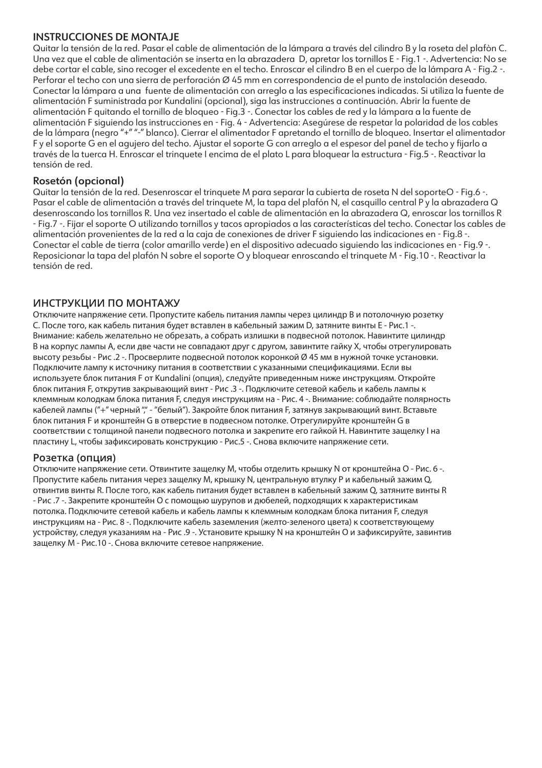#### INSTRUCCIONES DE MONTA JE

Quitar la tensión de la red. Pasar el cable de alimentación de la lámpara a través del cilindro B y la roseta del plafòn C. Una vez que el cable de alimentación se inserta en la abrazadera D, apretar los tornillos E - Fig.1 -. Advertencia: No se debe cortar el cable, sino recoger el excedente en el techo. Enroscar el cilindro B en el cuerpo de la lámpara A - Fig.2 -. Perforar el techo con una sierra de perforación Ø 45 mm en correspondencia de el punto de instalación deseado. Conectar la lámpara a una fuente de alimentación con arreglo a las especificaciones indicadas. Si utiliza la fuente de alimentación F suministrada por Kundalini (opcional), siga las instrucciones a continuación. Abrir la fuente de alimentación F quitando el tornillo de bloqueo - Fig.3 -. Conectar los cables de red y la lámpara a la fuente de alimentación F siguiendo las instrucciones en - Fig. 4 - Advertencia: Asegúrese de respetar la polaridad de los cables de la lámpara (negro "+" "-" blanco). Cierrar el alimentador F apretando el tornillo de bloqueo. Insertar el alimentador F y el soporte G en el agujero del techo. Ajustar el soporte G con arreglo a el espesor del panel de techo y fijarlo a través de la tuerca H. Enroscar el trinquete I encima de el plato L para bloquear la estructura - Fig.5 -. Reactivar la tensión de red.

# Rosetón (opcional)

Quitar la tensión de la red. Desenroscar el trinquete M para separar la cubierta de roseta N del soporteO - Fig.6 -. Pasar el cable de alimentación a través del trinquete M, la tapa del plafón N, el casquillo central P y la abrazadera Q desenroscando los tornillos R. Una vez insertado el cable de alimentación en la abrazadera Q, enroscar los tornillos R - Fig.7 -. Fijar el soporte O utilizando tornillos y tacos apropiados a las características del techo. Conectar los cables de alimentación provenientes de la red a la caja de conexiones de driver F siguiendo las indicaciones en - Fig.8 -. Conectar el cable de tierra (color amarillo verde) en el dispositivo adecuado siguiendo las indicaciones en - Fig.9 -. Reposicionar la tapa del plafón N sobre el soporte O y bloquear enroscando el trinquete M - Fig.10 -. Reactivar la tensión de red.

# **ИНСТРУКЦИИ ПО МОНТАЖУ**

Отключите напряжение сети. Пропустите кабель питания лампы через цилиндр B и потолочную розетку C. После того, как кабель питания будет вставлен в кабельный зажим D, затяните винты E - Рис.1 -. Внимание: кабель желательно не обрезать, а собрать излишки в подвесной потолок. Навинтите цилиндр B на корпус лампы A, если две части не совпадают друг с другом, завинтите гайку X, чтобы отрегулировать высоту резьбы - Рис .2 -. Просверлите подвесной потолок коронкой Ø 45 мм в нужной точке установки. Подключите лампу к источнику питания в соответствии с указанными спецификациями. Если вы используете блок питания F от Kundalini (опция), следуйте приведенным ниже инструкциям. Откройте блок питания F, открутив закрывающий винт - Рис .3 -. Подключите сетевой кабель и кабель лампы к клеммным колодкам блока питания F, следуя инструкциям на - Рис. 4 -. Внимание: соблюдайте полярность кабелей лампы ("+" черный "," - "белый"). Закройте блок питания F, затянув закрывающий винт. Вставьте блок питания F и кронштейн G в отверстие в подвесном потолке. Отрегулируйте кронштейн G в соответствии с толщиной панели подвесного потолка и закрепите его гайкой H. Навинтите защелку I на пластину L, чтобы зафиксировать конструкцию - Рис.5 -. Снова включите напряжение сети.

#### **Розетка (опция)**

Отключите напряжение сети. Отвинтите защелку M, чтобы отделить крышку N от кронштейна O - Рис. 6 -. Пропустите кабель питания через защелку M, крышку N, центральную втулку P и кабельный зажим Q, отвинтив винты R. После того, как кабель питания будет вставлен в кабельный зажим Q, затяните винты R - Рис .7 -. Закрепите кронштейн O с помощью шурупов и дюбелей, подходящих к характеристикам потолка. Подключите сетевой кабель и кабель лампы к клеммным колодкам блока питания F, следуя инструкциям на - Рис. 8 -. Подключите кабель заземления (желто-зеленого цвета) к соответствующему устройству, следуя указаниям на - Рис .9 -. Установите крышку N на кронштейн O и зафиксируйте, завинтив защелку M - Рис.10 -. Снова включите сетевое напряжение.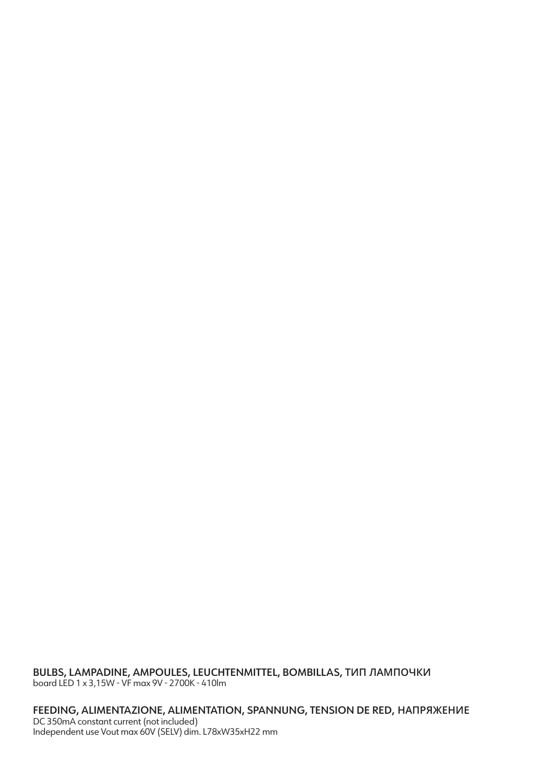BULBS, LAMPADINE, AMPOULES, LEUCHTENMITTEL, BOMBILLAS, **ТИП ЛАМПОЧКИ** board LED 1 x 3,15W - VF max 9V - 2700K - 410lm

FEEDING, ALIMENTAZIONE, ALIMENTATION, SPANNUNG, TENSION DE RED, **НАПРЯЖЕНИЕ** DC 350mA constant current (not included) Independent use Vout max 60V (SELV) dim. L78xW35xH22 mm